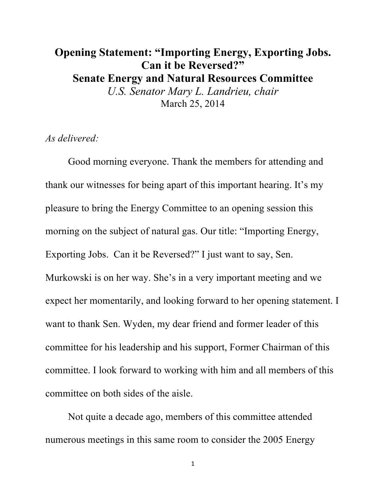## **Opening Statement: "Importing Energy, Exporting Jobs. Can it be Reversed?" Senate Energy and Natural Resources Committee** *U.S. Senator Mary L. Landrieu, chair* March 25, 2014

*As delivered:*

Good morning everyone. Thank the members for attending and thank our witnesses for being apart of this important hearing. It's my pleasure to bring the Energy Committee to an opening session this morning on the subject of natural gas. Our title: "Importing Energy, Exporting Jobs. Can it be Reversed?" I just want to say, Sen. Murkowski is on her way. She's in a very important meeting and we expect her momentarily, and looking forward to her opening statement. I want to thank Sen. Wyden, my dear friend and former leader of this committee for his leadership and his support, Former Chairman of this committee. I look forward to working with him and all members of this committee on both sides of the aisle.

Not quite a decade ago, members of this committee attended numerous meetings in this same room to consider the 2005 Energy

1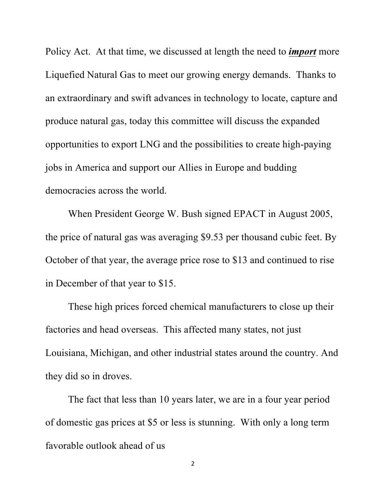Policy Act. At that time, we discussed at length the need to *import* more Liquefied Natural Gas to meet our growing energy demands. Thanks to an extraordinary and swift advances in technology to locate, capture and produce natural gas, today this committee will discuss the expanded opportunities to export LNG and the possibilities to create high-paying jobs in America and support our Allies in Europe and budding democracies across the world.

When President George W. Bush signed EPACT in August 2005, the price of natural gas was averaging \$9.53 per thousand cubic feet. By October of that year, the average price rose to \$13 and continued to rise in December of that year to \$15.

These high prices forced chemical manufacturers to close up their factories and head overseas. This affected many states, not just Louisiana, Michigan, and other industrial states around the country. And they did so in droves.

The fact that less than 10 years later, we are in a four year period of domestic gas prices at \$5 or less is stunning. With only a long term favorable outlook ahead of us

2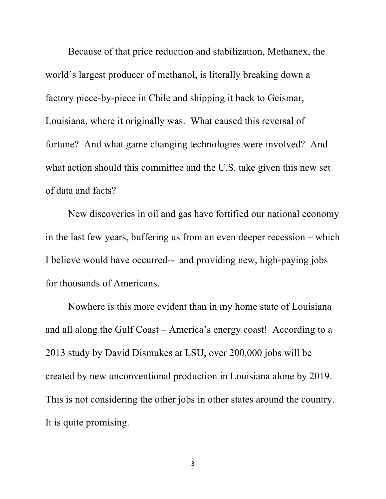Because of that price reduction and stabilization, Methanex, the world's largest producer of methanol, is literally breaking down a factory piece-by-piece in Chile and shipping it back to Geismar, Louisiana, where it originally was. What caused this reversal of fortune? And what game changing technologies were involved? And what action should this committee and the U.S. take given this new set of data and facts?

New discoveries in oil and gas have fortified our national economy in the last few years, buffering us from an even deeper recession – which I believe would have occurred-- and providing new, high-paying jobs for thousands of Americans.

Nowhere is this more evident than in my home state of Louisiana and all along the Gulf Coast – America's energy coast! According to a 2013 study by David Dismukes at LSU, over 200,000 jobs will be created by new unconventional production in Louisiana alone by 2019. This is not considering the other jobs in other states around the country. It is quite promising.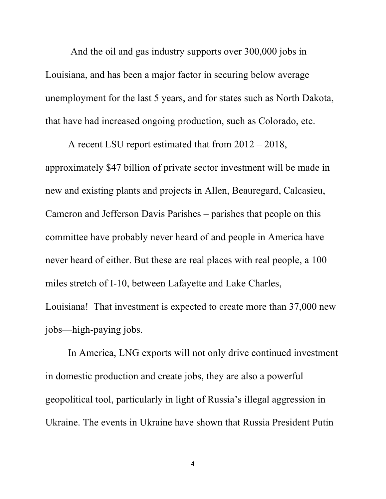And the oil and gas industry supports over 300,000 jobs in Louisiana, and has been a major factor in securing below average unemployment for the last 5 years, and for states such as North Dakota, that have had increased ongoing production, such as Colorado, etc.

A recent LSU report estimated that from 2012 – 2018, approximately \$47 billion of private sector investment will be made in new and existing plants and projects in Allen, Beauregard, Calcasieu, Cameron and Jefferson Davis Parishes – parishes that people on this committee have probably never heard of and people in America have never heard of either. But these are real places with real people, a 100 miles stretch of I-10, between Lafayette and Lake Charles,

Louisiana! That investment is expected to create more than 37,000 new jobs—high-paying jobs.

In America, LNG exports will not only drive continued investment in domestic production and create jobs, they are also a powerful geopolitical tool, particularly in light of Russia's illegal aggression in Ukraine. The events in Ukraine have shown that Russia President Putin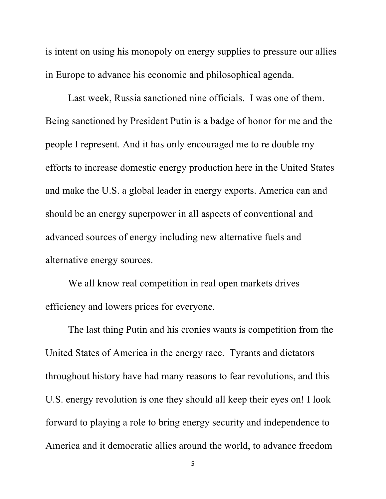is intent on using his monopoly on energy supplies to pressure our allies in Europe to advance his economic and philosophical agenda.

Last week, Russia sanctioned nine officials. I was one of them. Being sanctioned by President Putin is a badge of honor for me and the people I represent. And it has only encouraged me to re double my efforts to increase domestic energy production here in the United States and make the U.S. a global leader in energy exports. America can and should be an energy superpower in all aspects of conventional and advanced sources of energy including new alternative fuels and alternative energy sources.

We all know real competition in real open markets drives efficiency and lowers prices for everyone.

The last thing Putin and his cronies wants is competition from the United States of America in the energy race. Tyrants and dictators throughout history have had many reasons to fear revolutions, and this U.S. energy revolution is one they should all keep their eyes on! I look forward to playing a role to bring energy security and independence to America and it democratic allies around the world, to advance freedom